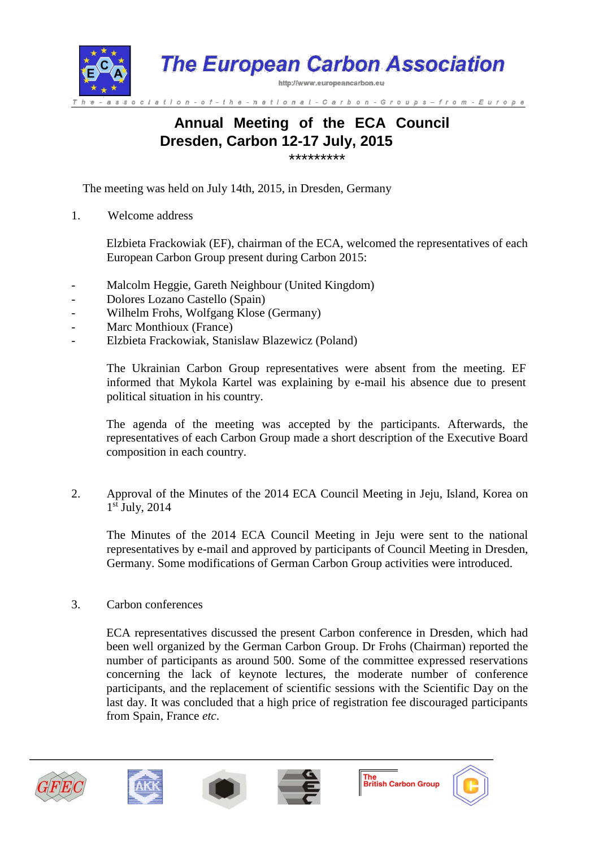

# **Annual Meeting of the ECA Council Dresden, Carbon 12-17 July, 2015** \*\*\*\*\*\*\*\*\*

The meeting was held on July 14th, 2015, in Dresden, Germany

1. Welcome address

Elzbieta Frackowiak (EF), chairman of the ECA, welcomed the representatives of each European Carbon Group present during Carbon 2015:

- Malcolm Heggie, Gareth Neighbour (United Kingdom)
- Dolores Lozano Castello (Spain)
- Wilhelm Frohs, Wolfgang Klose (Germany)
- Marc Monthioux (France)
- Elzbieta Frackowiak, Stanislaw Blazewicz (Poland)

The Ukrainian Carbon Group representatives were absent from the meeting. EF informed that Mykola Kartel was explaining by e-mail his absence due to present political situation in his country.

The agenda of the meeting was accepted by the participants. Afterwards, the representatives of each Carbon Group made a short description of the Executive Board composition in each country.

2. Approval of the Minutes of the 2014 ECA Council Meeting in Jeju, Island, Korea on 1 st July, 2014

The Minutes of the 2014 ECA Council Meeting in Jeju were sent to the national representatives by e-mail and approved by participants of Council Meeting in Dresden, Germany. Some modifications of German Carbon Group activities were introduced.

3. Carbon conferences

ECA representatives discussed the present Carbon conference in Dresden, which had been well organized by the German Carbon Group. Dr Frohs (Chairman) reported the number of participants as around 500. Some of the committee expressed reservations concerning the lack of keynote lectures, the moderate number of conference participants, and the replacement of scientific sessions with the Scientific Day on the last day. It was concluded that a high price of registration fee discouraged participants from Spain, France *etc*.







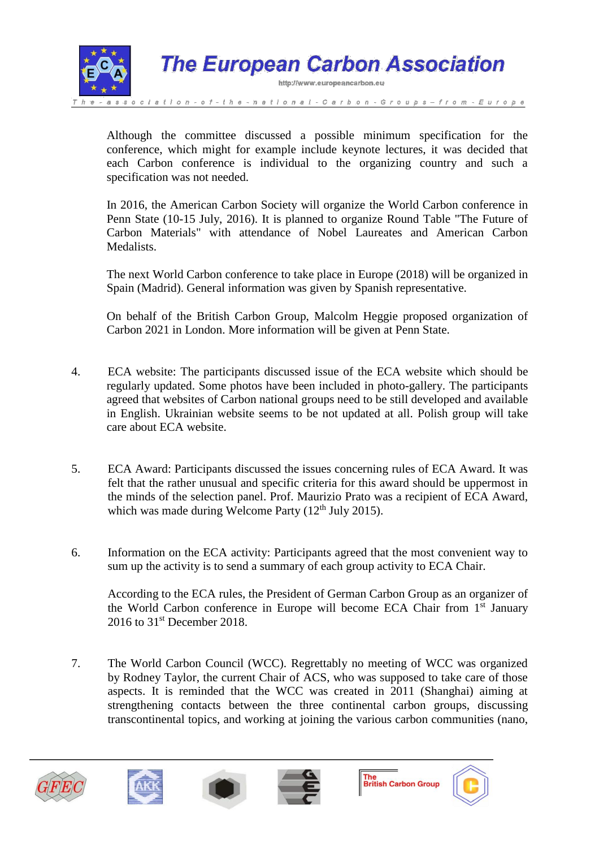

Although the committee discussed a possible minimum specification for the conference, which might for example include keynote lectures, it was decided that each Carbon conference is individual to the organizing country and such a specification was not needed.

In 2016, the American Carbon Society will organize the World Carbon conference in Penn State (10-15 July, 2016). It is planned to organize Round Table "The Future of Carbon Materials" with attendance of Nobel Laureates and American Carbon Medalists.

The next World Carbon conference to take place in Europe (2018) will be organized in Spain (Madrid). General information was given by Spanish representative.

On behalf of the British Carbon Group, Malcolm Heggie proposed organization of Carbon 2021 in London. More information will be given at Penn State.

- 4. ECA website: The participants discussed issue of the ECA website which should be regularly updated. Some photos have been included in photo-gallery. The participants agreed that websites of Carbon national groups need to be still developed and available in English. Ukrainian website seems to be not updated at all. Polish group will take care about ECA website.
- 5. ECA Award: Participants discussed the issues concerning rules of ECA Award. It was felt that the rather unusual and specific criteria for this award should be uppermost in the minds of the selection panel. Prof. Maurizio Prato was a recipient of ECA Award, which was made during Welcome Party  $(12<sup>th</sup>$  July 2015).
- 6. Information on the ECA activity: Participants agreed that the most convenient way to sum up the activity is to send a summary of each group activity to ECA Chair.

According to the ECA rules, the President of German Carbon Group as an organizer of the World Carbon conference in Europe will become ECA Chair from 1<sup>st</sup> January  $2016$  to  $31<sup>st</sup>$  December 2018.

7. The World Carbon Council (WCC). Regrettably no meeting of WCC was organized by Rodney Taylor, the current Chair of ACS, who was supposed to take care of those aspects. It is reminded that the WCC was created in 2011 (Shanghai) aiming at strengthening contacts between the three continental carbon groups, discussing transcontinental topics, and working at joining the various carbon communities (nano,







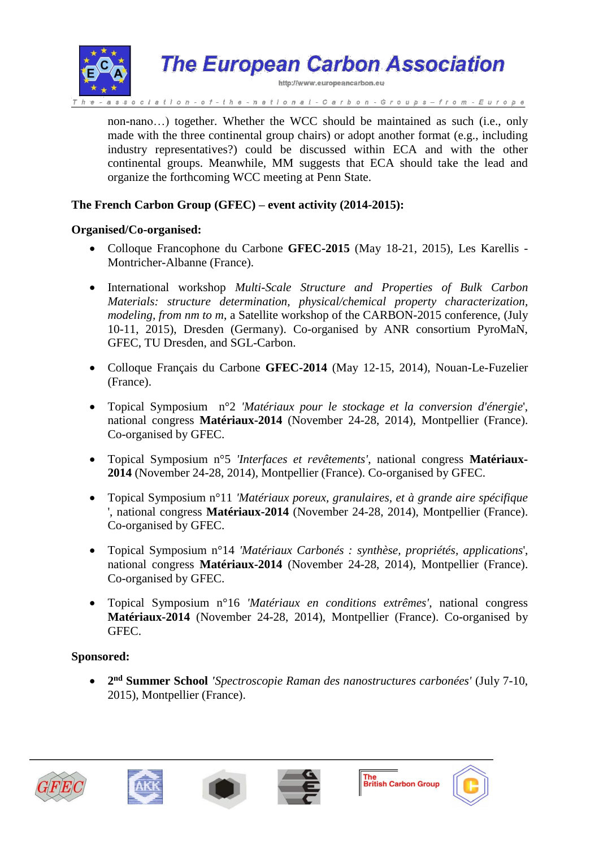

non-nano…) together. Whether the WCC should be maintained as such (i.e., only made with the three continental group chairs) or adopt another format (e.g., including industry representatives?) could be discussed within ECA and with the other continental groups. Meanwhile, MM suggests that ECA should take the lead and organize the forthcoming WCC meeting at Penn State.

## **The French Carbon Group (GFEC) – event activity (2014-2015):**

### **Organised/Co-organised:**

- Colloque Francophone du Carbone **GFEC-2015** (May 18-21, 2015), Les Karellis Montricher-Albanne (France).
- International workshop *Multi-Scale Structure and Properties of Bulk Carbon Materials: structure determination, physical/chemical property characterization, modeling, from nm to m*, a Satellite workshop of the CARBON-2015 conference, (July 10-11, 2015), Dresden (Germany). Co-organised by ANR consortium PyroMaN, GFEC, TU Dresden, and SGL-Carbon.
- Colloque Français du Carbone **GFEC-2014** (May 12-15, 2014), Nouan-Le-Fuzelier (France).
- Topical Symposium n°2 *'Matériaux pour le stockage et la conversion d'énergie*', national congress **Matériaux-2014** (November 24-28, 2014), Montpellier (France). Co-organised by GFEC.
- Topical Symposium n°5 *'Interfaces et revêtements'*, national congress **Matériaux-2014** (November 24-28, 2014), Montpellier (France). Co-organised by GFEC.
- Topical Symposium n°11 *'Matériaux poreux, granulaires, et à grande aire spécifique*  ', national congress **Matériaux-2014** (November 24-28, 2014), Montpellier (France). Co-organised by GFEC.
- Topical Symposium n°14 *'Matériaux Carbonés : synthèse, propriétés, applications*', national congress **Matériaux-2014** (November 24-28, 2014), Montpellier (France). Co-organised by GFEC.
- Topical Symposium n°16 *'Matériaux en conditions extrêmes'*, national congress **Matériaux-2014** (November 24-28, 2014), Montpellier (France). Co-organised by GFEC.

### **Sponsored:**

• **2 nd Summer School** *'Spectroscopie Raman des nanostructures carbonées'* (July 7-10, 2015), Montpellier (France).







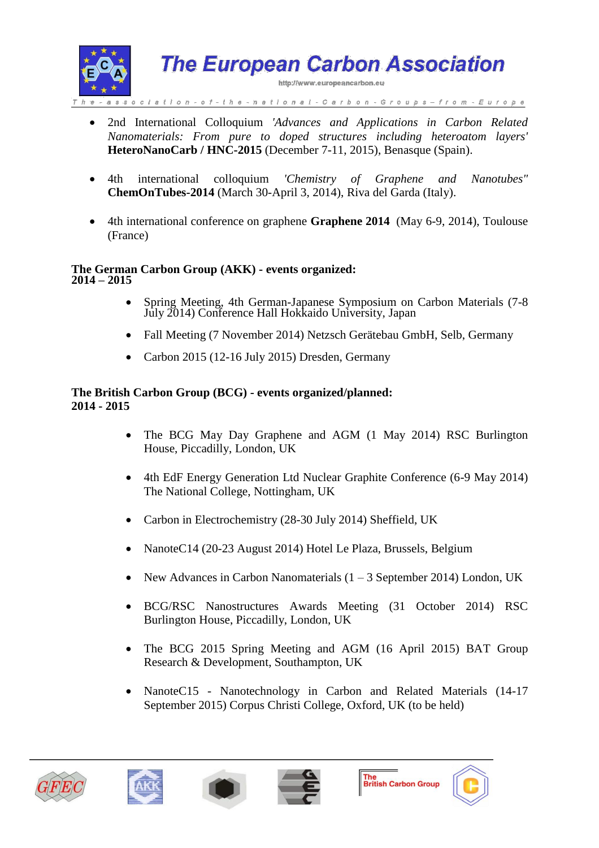

- 2nd International Colloquium *'Advances and Applications in Carbon Related Nanomaterials: From pure to doped structures including heteroatom layers'* **HeteroNanoCarb / HNC-2015** (December 7-11, 2015), Benasque (Spain).
- 4th international colloquium *'Chemistry of Graphene and Nanotubes"* **ChemOnTubes-2014** (March 30-April 3, 2014), Riva del Garda (Italy).
- 4th international conference on graphene **Graphene 2014** (May 6-9, 2014), Toulouse (France)

#### **The German Carbon Group (AKK) - events organized: 2014 – 2015**

- Spring Meeting, 4th German-Japanese Symposium on Carbon Materials (7-8 July 2014) Conference Hall Hokkaido University, Japan
- Fall Meeting (7 November 2014) Netzsch Gerätebau GmbH, Selb, Germany
- Carbon 2015 (12-16 July 2015) Dresden, Germany

## **The British Carbon Group (BCG) - events organized/planned: 2014 - 2015**

- The BCG May Day Graphene and AGM (1 May 2014) RSC Burlington House, Piccadilly, London, UK
- 4th EdF Energy Generation Ltd Nuclear Graphite Conference (6-9 May 2014) The National College, Nottingham, UK
- Carbon in Electrochemistry (28-30 July 2014) Sheffield, UK
- NanoteC14 (20-23 August 2014) Hotel Le Plaza, Brussels, Belgium
- New Advances in Carbon Nanomaterials  $(1 3$  September 2014) London, UK
- BCG/RSC Nanostructures Awards Meeting (31 October 2014) RSC Burlington House, Piccadilly, London, UK
- The BCG 2015 Spring Meeting and AGM (16 April 2015) BAT Group Research & Development, Southampton, UK
- NanoteC15 Nanotechnology in Carbon and Related Materials (14-17 September 2015) Corpus Christi College, Oxford, UK (to be held)